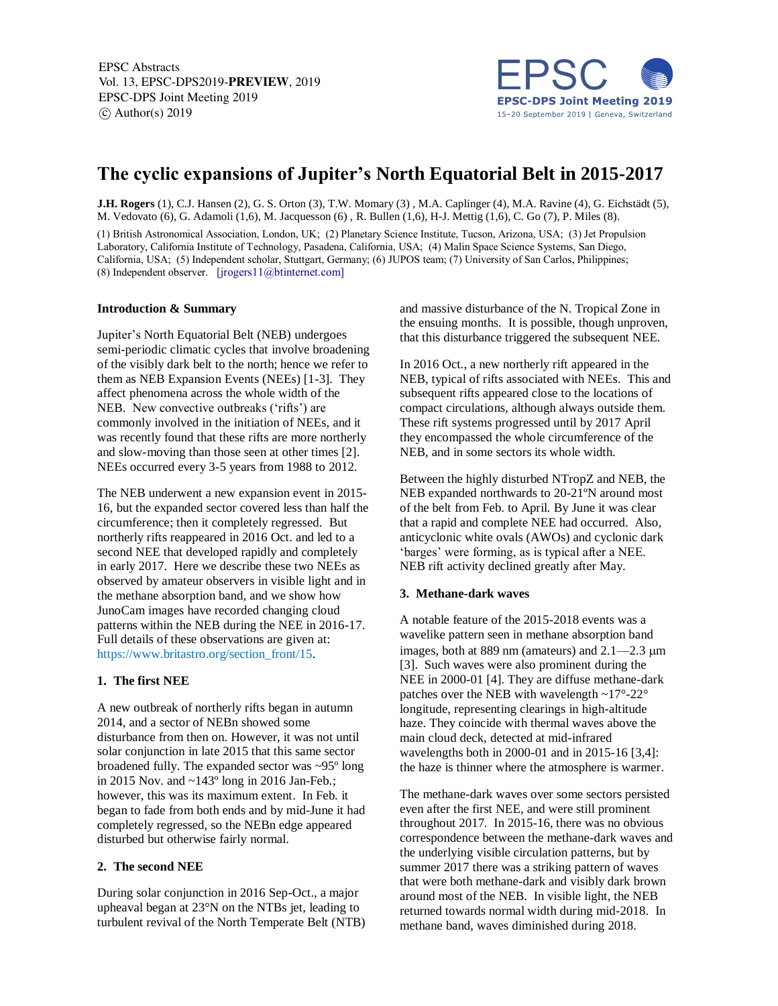EPSC Abstracts Vol. 13, EPSC-DPS2019-PREVIEW, 2019 EPSC-DPS Joint Meeting 2019  $\circ$  Author(s) 2019



# **The cyclic expansions of Jupiter's North Equatorial Belt in 2015-2017**

**J.H. Rogers** (1), C.J. Hansen (2), G. S. Orton (3), T.W. Momary (3) , M.A. Caplinger (4), M.A. Ravine (4), G. Eichstädt (5), M. Vedovato (6), G. Adamoli (1,6), M. Jacquesson (6) , R. Bullen (1,6), H-J. Mettig (1,6), C. Go (7), P. Miles (8).

(1) British Astronomical Association, London, UK; (2) Planetary Science Institute, Tucson, Arizona, USA; (3) Jet Propulsion Laboratory, California Institute of Technology, Pasadena, California, USA; (4) Malin Space Science Systems, San Diego, California, USA; (5) Independent scholar, Stuttgart, Germany; (6) JUPOS team; (7) University of San Carlos, Philippines; (8) Independent observer. [jrogers11@btinternet.com]

#### **Introduction & Summary**

Jupiter's North Equatorial Belt (NEB) undergoes semi-periodic climatic cycles that involve broadening of the visibly dark belt to the north; hence we refer to them as NEB Expansion Events (NEEs) [1-3]. They affect phenomena across the whole width of the NEB. New convective outbreaks ('rifts') are commonly involved in the initiation of NEEs, and it was recently found that these rifts are more northerly and slow-moving than those seen at other times [2]. NEEs occurred every 3-5 years from 1988 to 2012.

The NEB underwent a new expansion event in 2015- 16, but the expanded sector covered less than half the circumference; then it completely regressed. But northerly rifts reappeared in 2016 Oct. and led to a second NEE that developed rapidly and completely in early 2017. Here we describe these two NEEs as observed by amateur observers in visible light and in the methane absorption band, and we show how JunoCam images have recorded changing cloud patterns within the NEB during the NEE in 2016-17. Full details of these observations are given at: https://www.britastro.org/section\_front/15.

#### **1. The first NEE**

A new outbreak of northerly rifts began in autumn 2014, and a sector of NEBn showed some disturbance from then on. However, it was not until solar conjunction in late 2015 that this same sector broadened fully. The expanded sector was ~95º long in 2015 Nov. and ~143º long in 2016 Jan-Feb.; however, this was its maximum extent. In Feb. it began to fade from both ends and by mid-June it had completely regressed, so the NEBn edge appeared disturbed but otherwise fairly normal.

#### **2. The second NEE**

During solar conjunction in 2016 Sep-Oct., a major upheaval began at 23°N on the NTBs jet, leading to turbulent revival of the North Temperate Belt (NTB) and massive disturbance of the N. Tropical Zone in the ensuing months. It is possible, though unproven, that this disturbance triggered the subsequent NEE.

In 2016 Oct., a new northerly rift appeared in the NEB, typical of rifts associated with NEEs. This and subsequent rifts appeared close to the locations of compact circulations, although always outside them. These rift systems progressed until by 2017 April they encompassed the whole circumference of the NEB, and in some sectors its whole width.

Between the highly disturbed NTropZ and NEB, the NEB expanded northwards to 20-21ºN around most of the belt from Feb. to April. By June it was clear that a rapid and complete NEE had occurred. Also, anticyclonic white ovals (AWOs) and cyclonic dark 'barges' were forming, as is typical after a NEE. NEB rift activity declined greatly after May.

#### **3. Methane-dark waves**

A notable feature of the 2015-2018 events was a wavelike pattern seen in methane absorption band images, both at 889 nm (amateurs) and  $2.1 - 2.3$  µm [3]. Such waves were also prominent during the NEE in 2000-01 [4]. They are diffuse methane-dark patches over the NEB with wavelength ~17°-22° longitude, representing clearings in high-altitude haze. They coincide with thermal waves above the main cloud deck, detected at mid-infrared wavelengths both in 2000-01 and in 2015-16 [3,4]: the haze is thinner where the atmosphere is warmer.

The methane-dark waves over some sectors persisted even after the first NEE, and were still prominent throughout 2017. In 2015-16, there was no obvious correspondence between the methane-dark waves and the underlying visible circulation patterns, but by summer 2017 there was a striking pattern of waves that were both methane-dark and visibly dark brown around most of the NEB. In visible light, the NEB returned towards normal width during mid-2018. In methane band, waves diminished during 2018.